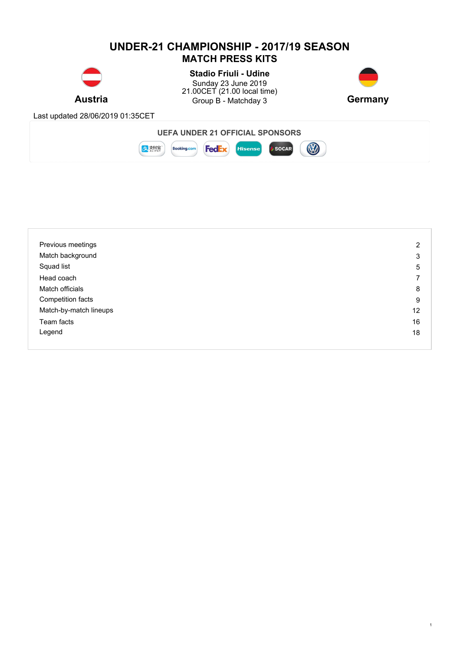# **UNDER-21 CHAMPIONSHIP - 2017/19 SEASON MATCH PRESS KITS**



**Austria Example 3** Group B - Matchday 3 **Germany Stadio Friuli - Udine** Sunday 23 June 2019 21.00CET (21.00 local time)



1

Last updated 28/06/2019 01:35CET



| Previous meetings      | $\overline{2}$ |
|------------------------|----------------|
| Match background       | 3              |
| Squad list             | 5              |
| Head coach             |                |
| Match officials        | 8              |
| Competition facts      | 9              |
| Match-by-match lineups | 12             |
| Team facts             | 16             |
| Legend                 | 18             |
|                        |                |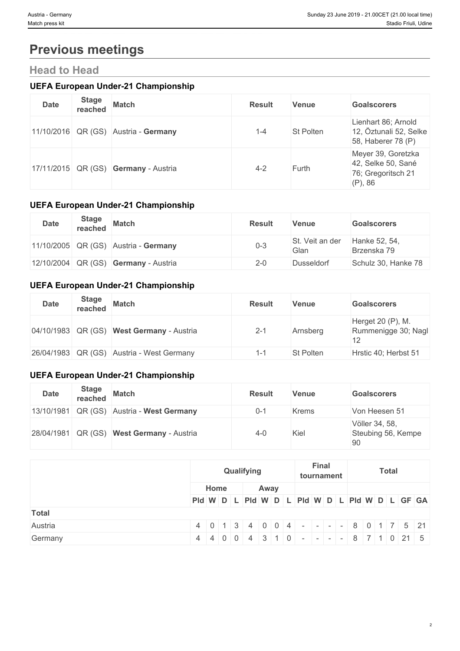# **Previous meetings**

# **Head to Head**

# **UEFA European Under-21 Championship**

| <b>Date</b> | <b>Stage</b><br>reached | <b>Match</b>                         | <b>Result</b> | Venue            | <b>Goalscorers</b>                                                               |
|-------------|-------------------------|--------------------------------------|---------------|------------------|----------------------------------------------------------------------------------|
|             |                         | 11/10/2016 QR (GS) Austria - Germany | $1 - 4$       | <b>St Polten</b> | Lienhart 86; Arnold<br>12, Öztunali 52, Selke<br>58, Haberer 78 (P)              |
|             |                         | 17/11/2015 QR (GS) Germany - Austria | $4 - 2$       | Furth            | Meyer 39, Goretzka<br>$ 42$ , Selke 50, Sané<br>76; Gregoritsch 21<br>$(P)$ , 86 |

# **UEFA European Under-21 Championship**

| <b>Date</b> | <b>Stage</b><br>reached | <b>Match</b>                         | <b>Result</b> | Venue                   | <b>Goalscorers</b>           |
|-------------|-------------------------|--------------------------------------|---------------|-------------------------|------------------------------|
|             |                         | 11/10/2005 QR (GS) Austria - Germany | $0 - 3$       | St. Veit an der<br>Glan | Hanke 52, 54,<br>Brzenska 79 |
|             |                         | 12/10/2004 QR (GS) Germany - Austria | $2 - 0$       | Dusseldorf              | Schulz 30, Hanke 78          |

# **UEFA European Under-21 Championship**

| <b>Date</b> | <b>Stage</b><br>reached | <b>Match</b>                              | <b>Result</b> | Venue            | <b>Goalscorers</b>                       |
|-------------|-------------------------|-------------------------------------------|---------------|------------------|------------------------------------------|
|             |                         | 04/10/1983 QR (GS) West Germany - Austria | $2 - 1$       | Arnsberg         | Herget 20 (P), M.<br>Rummenigge 30; Nagl |
|             |                         | 26/04/1983 QR (GS) Austria - West Germany | 1-'           | <b>St Polten</b> | Hrstic 40; Herbst 51                     |

# **UEFA European Under-21 Championship**

| <b>Date</b> | <b>Stage</b><br>reached | <b>Match</b>                              | <b>Result</b> | Venue        | <b>Goalscorers</b>                         |
|-------------|-------------------------|-------------------------------------------|---------------|--------------|--------------------------------------------|
|             |                         | 13/10/1981 QR (GS) Austria - West Germany | $0 - 1$       | <b>Krems</b> | Von Heesen 51                              |
|             |                         | 28/04/1981 QR (GS) West Germany - Austria | $4 - 0$       | Kiel         | Völler 34, 58,<br>Steubing 56, Kempe<br>90 |

|         | Qualifying                                    |                                                                        |  |  |      |  |  | <b>Final</b><br>tournament |  |  | <b>Total</b> |  |  |  |  |  |
|---------|-----------------------------------------------|------------------------------------------------------------------------|--|--|------|--|--|----------------------------|--|--|--------------|--|--|--|--|--|
|         |                                               | Home                                                                   |  |  | Away |  |  |                            |  |  |              |  |  |  |  |  |
|         | Pid W D L Pid W D L Pid W D L Pid W D L GF GA |                                                                        |  |  |      |  |  |                            |  |  |              |  |  |  |  |  |
| Total   |                                               |                                                                        |  |  |      |  |  |                            |  |  |              |  |  |  |  |  |
| Austria |                                               | $4   0   1   3   4   0   0   4   -   -   -   8   0   1   7   5   21  $ |  |  |      |  |  |                            |  |  |              |  |  |  |  |  |
| Germany |                                               | $4   4   0   0   4   3   1   0$ - - - - 8 7 1 0 21 5                   |  |  |      |  |  |                            |  |  |              |  |  |  |  |  |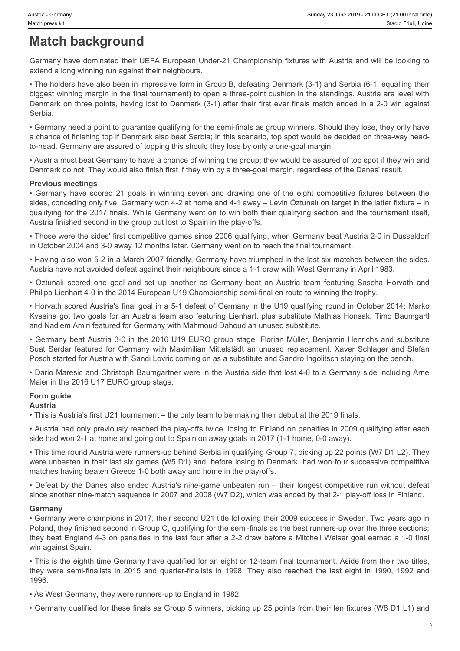# **Match background**

Germany have dominated their UEFA European Under-21 Championship fixtures with Austria and will be looking to extend a long winning run against their neighbours.

• The holders have also been in impressive form in Group B, defeating Denmark (3-1) and Serbia (6-1, equalling their biggest winning margin in the final tournament) to open a three-point cushion in the standings. Austria are level with Denmark on three points, having lost to Denmark (3-1) after their first ever finals match ended in a 2-0 win against Serbia.

• Germany need a point to guarantee qualifying for the semi-finals as group winners. Should they lose, they only have a chance of finishing top if Denmark also beat Serbia; in this scenario, top spot would be decided on three-way headto-head. Germany are assured of topping this should they lose by only a one-goal margin.

• Austria must beat Germany to have a chance of winning the group; they would be assured of top spot if they win and Denmark do not. They would also finish first if they win by a three-goal margin, regardless of the Danes' result.

# **Previous meetings**

surts - Germany have determany save 21 downed 21 Germany save 21 Germany have the many have dominated their UEFA European Under-21 Championship fixtures with Austria and will be looking to<br>extend al long winning rarn agai sides, conceding only five. Germany won 4-2 at home and 4-1 away – Levin Öztunalı on target in the latter fixture – in qualifying for the 2017 finals. While Germany went on to win both their qualifying section and the tournament itself, Austria finished second in the group but lost to Spain in the play-offs. أخذ Corresponsive Corresponsive Corresponsive States 23 Jum 2014 - 23 Corresponses Corresponses Corresponses Corresponses Corresponses Corresponses Corresponses Corresponses Corresponses Corresponses Corresponses Corresp suars cerew.<br>
Suat Service Table Service Control of the Company Under-21 Championship for the state and will be looking to<br>
Cermany have dominanted their UEFA European Under-21 Championship for<br>three with Austra and will b

• Those were the sides' first competitive games since 2006 qualifying, when Germany beat Austria 2-0 in Dusseldorf in October 2004 and 3-0 away 12 months later. Germany went on to reach the final tournament.

• Having also won 5-2 in a March 2007 friendly, Germany have triumphed in the last six matches between the sides. Austria have not avoided defeat against their neighbours since a 1-1 draw with West Germany in April 1983.

Philipp Lienhart 4-0 in the 2014 European U19 Championship semi-final en route to winning the trophy.

• Horvath scored Austria's final goal in a 5-1 defeat of Germany in the U19 qualifying round in October 2014; Marko Kvasina got two goals for an Austria team also featuring Lienhart, plus substitute Mathias Honsak. Timo Baumgartl and Nadiem Amiri featured for Germany with Mahmoud Dahoud an unused substitute.

• Germany beat Austria 3-0 in the 2016 U19 EURO group stage; Florian Müller, Benjamin Henrichs and substitute Posch started for Austria with Sandi Lovric coming on as a substitute and Sandro Ingolitsch staying on the bench.

• Dario Maresic and Christoph Baumgartner were in the Austria side that lost 4-0 to a Germany side including Arne Maier in the 2016 U17 EURO group stage.

# **Form guide**

**Austria**

• This is Austria's first U21 tournament – the only team to be making their debut at the 2019 finals.

• Austria had only previously reached the play-offs twice, losing to Finland on penalties in 2009 qualifying after each side had won 2-1 at home and going out to Spain on away goals in 2017 (1-1 home, 0-0 away).

• This time round Austria were runners-up behind Serbia in qualifying Group 7, picking up 22 points (W7 D1 L2). They were unbeaten in their last six games (W5 D1) and, before losing to Denmark, had won four successive competitive matches having beaten Greece 1-0 both away and home in the play-offs.

• Defeat by the Danes also ended Austria's nine-game unbeaten run – their longest competitive run without defeat since another nine-match sequence in 2007 and 2008 (W7 D2), which was ended by that 2-1 play-off loss in Finland.

# **Germany**

• Germany were champions in 2017, their second U21 title following their 2009 success in Sweden. Two years ago in Poland, they finished second in Group C, qualifying for the semi-finals as the best runners-up over the three sections; they beat England 4-3 on penalties in the last four after a 2-2 draw before a Mitchell Weiser goal earned a 1-0 final win against Spain. The matrix particles in the growth of the company is the eight company of the company is the company of the and the semi-finalists in the company of the company of the company of the company of the company of the company o

• This is the eighth time Germany have qualified for an eight or 12-team final tournament. Aside from their two titles, 1996.

• As West Germany, they were runners-up to England in 1982.

• Germany qualified for these finals as Group 5 winners, picking up 25 points from their ten fixtures (W8 D1 L1) and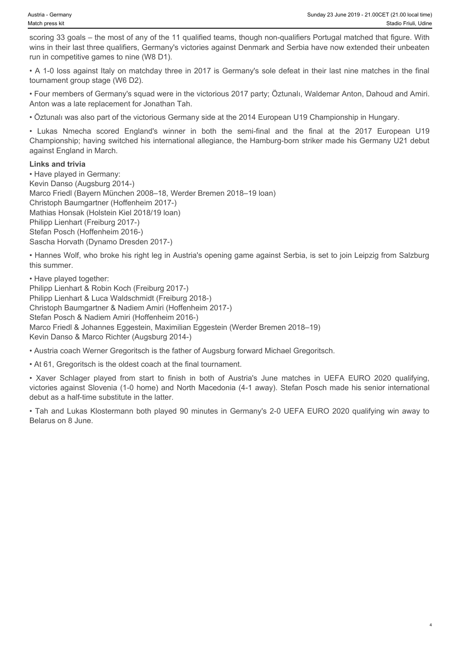scoring 33 goals – the most of any of the 11 qualified teams, though non-qualifiers Portugal matched that figure. With wins in their last three qualifiers, Germany's victories against Denmark and Serbia have now extended their unbeaten run in competitive games to nine (W8 D1).

• A 1-0 loss against Italy on matchday three in 2017 is Germany's sole defeat in their last nine matches in the final tournament group stage (W6 D2).

• Four members of Germany's squad were in the victorious 2017 party; Öztunalı, Waldemar Anton, Dahoud and Amiri. Anton was a late replacement for Jonathan Tah.

• Öztunalı was also part of the victorious Germany side at the 2014 European U19 Championship in Hungary.

Championship; having switched his international allegiance, the Hamburg-born striker made his Germany U21 debut against England in March.

# **Links and trivia**

varia - Cemany<br>
• Sunday 23 June 2019 - 21.00CET (21.00 local imes)<br>
• Stadio Frault Uses<br>
• Stadio Frault Uses<br>
• Stadio Frault England Hat three qualifiers, Germany's victories against Denmark and Serbia have now extende • Have played in Germany: Kevin Danso (Augsburg 2014-) Marco Friedl (Bayern München 2008–18, Werder Bremen 2018–19 loan) Christoph Baumgartner (Hoffenheim 2017-) Mathias Honsak (Holstein Kiel 2018/19 loan) Philipp Lienhart (Freiburg 2017-) Stefan Posch (Hoffenheim 2016-) Sascha Horvath (Dynamo Dresden 2017-)

• Hannes Wolf, who broke his right leg in Austria's opening game against Serbia, is set to join Leipzig from Salzburg this summer.

• Have played together: Philipp Lienhart & Robin Koch (Freiburg 2017-) Philipp Lienhart & Luca Waldschmidt (Freiburg 2018-) Christoph Baumgartner & Nadiem Amiri (Hoffenheim 2017-) Stefan Posch & Nadiem Amiri (Hoffenheim 2016-) Marco Friedl & Johannes Eggestein, Maximilian Eggestein (Werder Bremen 2018–19) Kevin Danso & Marco Richter (Augsburg 2014-) • Xaver Centery<br>
• Xaver Schlager and Center of Austria's violations and Center of Austria's Device Center Schlager and Austria<br>
• Xaver Schlager Player Schlager and Center Schlager and Center Schlager and Center Schlager

• Austria coach Werner Gregoritsch is the father of Augsburg forward Michael Gregoritsch.

• At 61, Gregoritsch is the oldest coach at the final tournament.

victories against Slovenia (1-0 home) and North Macedonia (4-1 away). Stefan Posch made his senior international debut as a half-time substitute in the latter.

• Tah and Lukas Klostermann both played 90 minutes in Germany's 2-0 UEFA EURO 2020 qualifying win away to Belarus on 8 June.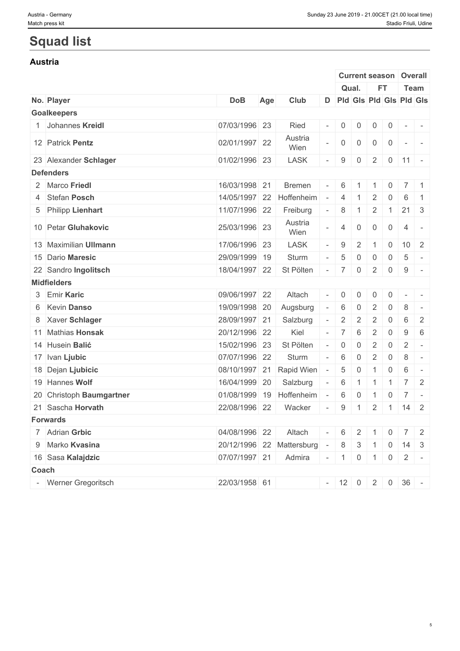# **Squad list**

# **Austria**

|                          |               |     |                                          |                          |                |                |                |                | <b>Current season   Overall</b>  |  |
|--------------------------|---------------|-----|------------------------------------------|--------------------------|----------------|----------------|----------------|----------------|----------------------------------|--|
|                          |               |     |                                          |                          |                | Qual.          | <b>FT</b>      |                | Team                             |  |
| No. Player               | <b>DoB</b>    | Age | Club                                     |                          |                |                |                |                | D Pld Gls Pld Gls Pld Gls        |  |
| <b>Goalkeepers</b>       |               |     |                                          |                          |                |                |                |                |                                  |  |
| Johannes Kreidl          | 07/03/1996 23 |     | Ried                                     | $\overline{\phantom{a}}$ |                | 0              | $\overline{0}$ | $\mathbf 0$    | $\sim$                           |  |
| 12 Patrick Pentz         | 02/01/1997 22 |     | Austria<br>Wien                          |                          | $\overline{0}$ | $\mathbf 0$    | $\mathbf 0$    | $\overline{0}$ | $\sim$<br>$\sim$                 |  |
| 23 Alexander Schlager    | 01/02/1996 23 |     | <b>LASK</b>                              |                          | 9              | 0              | $\overline{2}$ |                | $0 \mid 11 \mid -$               |  |
| <b>Defenders</b>         |               |     |                                          |                          |                |                |                |                |                                  |  |
| 2 Marco Friedl           | 16/03/1998 21 |     | <b>Bremen</b>                            | $\overline{\phantom{a}}$ | 6              | -1             | $-1$           | $\overline{0}$ | $7 \mid 1$                       |  |
| 4 Stefan Posch           | 14/05/1997 22 |     | Hoffenheim                               | $\overline{\phantom{a}}$ | $\overline{4}$ |                | 2              | $\Omega$       | 6<br>$\overline{1}$              |  |
| 5 Philipp Lienhart       | 11/07/1996 22 |     | Freiburg                                 | $\overline{\phantom{a}}$ | 8              | -1             | 2              | $\overline{1}$ | $21 \quad 3$                     |  |
| 10 Petar Gluhakovic      | 25/03/1996 23 |     | Austria<br>Wien                          |                          | $\overline{4}$ | $\mathbf 0$    | $\overline{0}$ | $\overline{0}$ | 4<br>$\sim$                      |  |
| 13 Maximilian Ullmann    | 17/06/1996 23 |     | <b>LASK</b>                              |                          | 9              | 2              |                | $\overline{0}$ | $10 \quad 2$                     |  |
| 15 Dario Maresic         | 29/09/1999 19 |     | Sturm                                    |                          | 5              | $\mathbf{0}$   | $\mathbf 0$    | $\overline{0}$ | 5<br>$\sim$                      |  |
| 22 Sandro Ingolitsch     | 18/04/1997 22 |     | St Pölten                                | $\sim$                   | $\overline{7}$ | $\overline{0}$ | 2              | $\overline{0}$ | $9 -$                            |  |
| <b>Midfielders</b>       |               |     |                                          |                          |                |                |                |                |                                  |  |
| 3 Emir Karic             | 09/06/1997 22 |     | Altach                                   |                          | $\overline{0}$ | $\Omega$       | 0              | 0              | $\sim$<br>$\mathbf{r}$           |  |
| 6 Kevin Danso            | 19/09/1998 20 |     | Augsburg                                 |                          | 6              | $\mathbf 0$    | 2              | $\mathbf 0$    | 8<br>$\sim$                      |  |
| 8 Xaver Schlager         | 28/09/1997 21 |     | Salzburg                                 |                          | $\overline{2}$ | 2              | 2              | 0              | 6<br>2                           |  |
| 11 Mathias Honsak        | 20/12/1996 22 |     | Kiel                                     |                          | 7              | 6              | 2              | $\overline{0}$ | 9<br>6                           |  |
| 14 Husein Balić          | 15/02/1996 23 |     | St Pölten                                |                          | $\overline{0}$ | $\mathbf 0$    | $\overline{2}$ | $\overline{0}$ | $\overline{2}$<br>$\sim$ $-$     |  |
| 17 Ivan Ljubic           | 07/07/1996 22 |     | Sturm                                    |                          | 6              | $\mathbf 0$    | 2              | $\overline{0}$ | 8<br>$\sim$                      |  |
| 18 Dejan Ljubicic        | 08/10/1997 21 |     | Rapid Wien                               | $\overline{a}$           | $\overline{5}$ | $\mathbf 0$    | $\mathbf{1}$   | $\overline{0}$ | 6<br>$\sim$                      |  |
| 19 Hannes Wolf           | 16/04/1999 20 |     | Salzburg                                 | $\sim$                   | 6              |                | $\overline{1}$ | -1             | 7 <sup>1</sup><br>$\overline{2}$ |  |
| 20 Christoph Baumgartner |               |     | 01/08/1999 19 Hoffenheim                 | $\sim$                   | 6              | $\overline{0}$ | $-1$           |                | $0 \mid 7 \mid -$                |  |
| 21 Sascha Horvath        | 22/08/1996 22 |     | Wacker                                   | $\overline{\phantom{a}}$ | 9              | $\overline{1}$ |                |                | $2 \mid 1 \mid 14 \mid 2$        |  |
| <b>Forwards</b>          |               |     |                                          |                          |                |                |                |                |                                  |  |
| 7 Adrian Grbic           | 04/08/1996 22 |     | Altach                                   | $\sim$                   | 6              | $\overline{2}$ | $\overline{1}$ | $\overline{0}$ | $7 \mid 2$                       |  |
| 9 Marko Kvasina          |               |     | 20/12/1996 22 Mattersburg - 8 3 1 0 14 3 |                          |                |                |                |                |                                  |  |
| 16 Sasa Kalajdzic        | 07/07/1997 21 |     | Admira                                   |                          |                |                |                |                | $-1$ 0 1 0 2 -                   |  |
| Coach                    |               |     |                                          |                          |                |                |                |                |                                  |  |
| - Werner Gregoritsch     | 22/03/1958 61 |     |                                          |                          |                |                |                |                | $-$ 12 0 2 0 36 -                |  |
|                          |               |     |                                          |                          |                |                |                |                |                                  |  |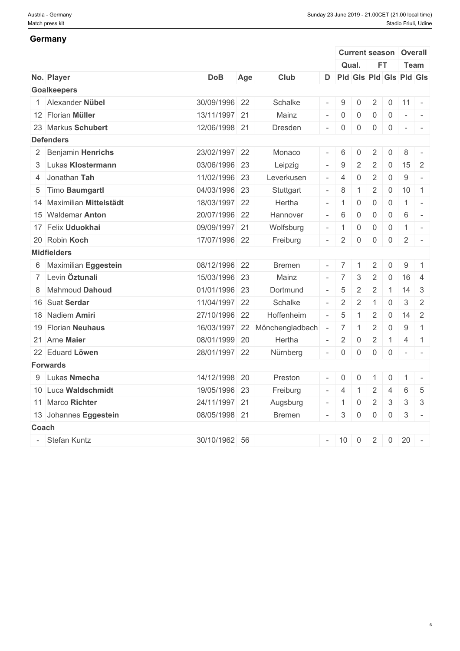# **Germany**

|                           |               |     |                               |                          |                                                      | <b>Current season</b> |                     |                | Overall                               |                |
|---------------------------|---------------|-----|-------------------------------|--------------------------|------------------------------------------------------|-----------------------|---------------------|----------------|---------------------------------------|----------------|
|                           |               |     |                               |                          |                                                      | Qual.                 | <b>FT</b>           |                | Team                                  |                |
| No. Player                | <b>DoB</b>    | Age | <b>Club</b>                   |                          |                                                      |                       |                     |                | D Pld Gls Pld Gls Pld Gls             |                |
| <b>Goalkeepers</b>        |               |     |                               |                          |                                                      |                       |                     |                |                                       |                |
| 1 Alexander Nübel         | 30/09/1996 22 |     | Schalke                       |                          | $-19$                                                | $\mathbf 0$           | $\overline{2}$      |                | $0 \mid 11 \mid -$                    |                |
| 12 Florian Müller         | 13/11/1997 21 |     | Mainz                         |                          | $- 0$                                                | $\mathbf 0$           | $\overline{0}$      | $\overline{0}$ | $\mathcal{L}_{\rm{max}}$<br>$\sim$    |                |
| 23 Markus Schubert        | 12/06/1998 21 |     | Dresden                       | $\overline{\phantom{a}}$ | $\begin{array}{\begin{array}{\small 0} \end{array}}$ | $\mathbf 0$           | $\overline{0}$      | $\overline{0}$ | $\sim$ $\sim$ $\sim$                  |                |
| <b>Defenders</b>          |               |     |                               |                          |                                                      |                       |                     |                |                                       |                |
| 2 Benjamin Henrichs       | 23/02/1997 22 |     | Monaco                        | $\overline{\phantom{a}}$ | 6                                                    | $\mathbf{0}$          | 2                   | $\Omega$       | 8                                     | $\overline{a}$ |
| 3 Lukas Klostermann       | 03/06/1996 23 |     | Leipzig                       |                          | 9                                                    | $\overline{2}$        | 2                   | 0              | $15 \quad 2$                          |                |
| 4 Jonathan Tah            | 11/02/1996 23 |     | Leverkusen                    | $\overline{\phantom{a}}$ | $\overline{4}$                                       | $\mathbf 0$           | $\overline{2}$      | $\mathsf{O}$   | 9<br>$\sim$ $-$                       |                |
| 5 Timo Baumgartl          | 04/03/1996 23 |     | Stuttgart                     | $\sim$                   | 8                                                    | -1                    | 2                   | $\overline{0}$ | $10$ 1                                |                |
| 14 Maximilian Mittelstädt | 18/03/1997 22 |     | Hertha                        |                          |                                                      | $\mathbf{0}$          | $\mathsf{O}\xspace$ | $\overline{0}$ | $\overline{1}$<br>$\sim$              |                |
| 15 Waldemar Anton         | 20/07/1996 22 |     | Hannover                      |                          | $-$ 6                                                | $\mathbf 0$           | $\mathbf 0$         | $\overline{0}$ | 6<br>$\sim$ $-$                       |                |
| 17 Felix Uduokhai         | 09/09/1997 21 |     | Wolfsburg                     |                          | $-1$                                                 | $\mathbf 0$           | $\overline{0}$      | $\overline{0}$ | $\overline{1}$<br>$\vert \cdot \vert$ |                |
| 20 Robin Koch             | 17/07/1996 22 |     | Freiburg                      | $\overline{a}$           | $\begin{array}{c} \hline \end{array}$                | $\mathbf 0$           | $\mathbf 0$         | $\overline{0}$ | $\overline{2}$<br>$\overline{a}$      |                |
| <b>Midfielders</b>        |               |     |                               |                          |                                                      |                       |                     |                |                                       |                |
| 6 Maximilian Eggestein    | 08/12/1996 22 |     | <b>Bremen</b>                 |                          | $-$ 7                                                | $\overline{1}$        | $\overline{2}$      | $\mathsf{O}$   | 9                                     | $\overline{1}$ |
| 7 Levin Öztunali          | 15/03/1996 23 |     | Mainz                         |                          |                                                      | 3                     | $\overline{2}$      | $\overline{0}$ | $16 \mid 4$                           |                |
| 8 Mahmoud Dahoud          | 01/01/1996 23 |     | Dortmund                      |                          | 5                                                    | $\overline{2}$        | $\overline{2}$      | $\overline{1}$ | $14 \mid 3$                           |                |
| 16 Suat Serdar            | 11/04/1997 22 |     | Schalke                       | $\sim$                   | $\begin{array}{c} \hline \end{array}$                | 2                     | $\mathbf{1}$        | 0              | $\mathbf{3}$                          | 2              |
| 18 Nadiem Amiri           | 27/10/1996 22 |     | Hoffenheim                    | $\sim$                   | 5                                                    | $\overline{1}$        | $\overline{2}$      | $\overline{0}$ | $14$ 2                                |                |
| 19 Florian Neuhaus        |               |     | 16/03/1997 22 Mönchengladbach | $\sim$                   | $\overline{7}$                                       |                       | $\overline{2}$      | $\overline{0}$ | 9                                     | $\overline{1}$ |
| 21 Arne Maier             | 08/01/1999 20 |     | Hertha                        | $\bar{a}$                | $\begin{array}{c} \boxed{2} \end{array}$             | $\mathbf 0$           | $\overline{2}$      | $\overline{1}$ | $\overline{4}$<br>$\vert$ 1           |                |
| 22 Eduard Löwen           | 28/01/1997 22 |     | Nürnberg                      | $\overline{\phantom{a}}$ | $\begin{array}{\begin{array}{\small 0} \end{array}}$ | $\mathbf 0$           | $\overline{0}$      | $\overline{0}$ |                                       |                |
| <b>Forwards</b>           |               |     |                               |                          |                                                      |                       |                     |                |                                       |                |
| 9 Lukas Nmecha            | 14/12/1998 20 |     | Preston                       |                          | $-$ 0                                                | $\mathbf{0}$          | $\overline{1}$      | $\overline{0}$ | $1 -$                                 |                |
| 10 Luca Waldschmidt       | 19/05/1996 23 |     | Freiburg                      |                          | $- 4$                                                | -1                    | $\overline{2}$      | $\overline{4}$ | 6                                     | 5              |
| 11 Marco Richter          | 24/11/1997 21 |     | Augsburg                      | $\overline{\phantom{a}}$ | $\blacksquare$                                       | $\mathbf 0$           | 2                   | 3              | $\mathbf{3}$                          | $\mathbf{3}$   |
| 13 Johannes Eggestein     | 08/05/1998 21 |     | <b>Bremen</b>                 |                          | $-$ 3                                                | $\mathbf 0$           | $\overline{0}$      | $\overline{0}$ | $\mathbf{3}$<br>$\sim$                |                |
| Coach                     |               |     |                               |                          |                                                      |                       |                     |                |                                       |                |
| - Stefan Kuntz            | 30/10/1962 56 |     |                               |                          | $-10$                                                | $\overline{0}$        | $2^{\circ}$         | $\overline{0}$ | 20<br>$\sim$ $-$                      |                |
|                           |               |     |                               |                          |                                                      |                       |                     |                |                                       |                |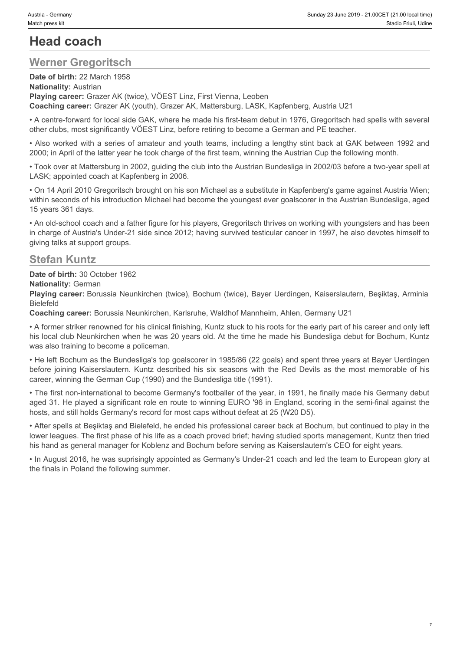# **Head coach**

# **Werner Gregoritsch**

**Date of birth:** 22 March 1958 **Nationality:** Austrian **Playing career:** Grazer AK (twice), VÖEST Linz, First Vienna, Leoben **Coaching career:** Grazer AK (youth), Grazer AK, Mattersburg, LASK, Kapfenberg, Austria U21

• A centre-forward for local side GAK, where he made his first-team debut in 1976, Gregoritsch had spells with several other clubs, most significantly VÖEST Linz, before retiring to become a German and PE teacher.

• Also worked with a series of amateur and youth teams, including a lengthy stint back at GAK between 1992 and 2000; in April of the latter year he took charge of the first team, winning the Austrian Cup the following month.

• Took over at Mattersburg in 2002, guiding the club into the Austrian Bundesliga in 2002/03 before a two-year spell at LASK; appointed coach at Kapfenberg in 2006.

• On 14 April 2010 Gregoritsch brought on his son Michael as a substitute in Kapfenberg's game against Austria Wien; within seconds of his introduction Michael had become the youngest ever goalscorer in the Austrian Bundesliga, aged 15 years 361 days.

• An old-school coach and a father figure for his players, Gregoritsch thrives on working with youngsters and has been in charge of Austria's Under-21 side since 2012; having survived testicular cancer in 1997, he also devotes himself to giving talks at support groups.

# **Stefan Kuntz**

**Date of birth:** 30 October 1962

**Nationality:** German

**Playing career:** Borussia Neunkirchen (twice), Bochum (twice), Bayer Uerdingen, Kaiserslautern, Beşiktaş, Arminia Bielefeld

**Coaching career:** Borussia Neunkirchen, Karlsruhe, Waldhof Mannheim, Ahlen, Germany U21

• A former striker renowned for his clinical finishing, Kuntz stuck to his roots for the early part of his career and only left his local club Neunkirchen when he was 20 years old. At the time he made his Bundesliga debut for Bochum, Kuntz was also training to become a policeman. before in the most community of the most community of the most memorial of the most community of the most community of the most community of the most community of the most memorial of the most memorial of the most memorial

• He left Bochum as the Bundesliga's top goalscorer in 1985/86 (22 goals) and spent three years at Bayer Uerdingen career, winning the German Cup (1990) and the Bundesliga title (1991).

• The first non-international to become Germany's footballer of the year, in 1991, he finally made his Germany debut aged 31. He played a significant role en route to winning EURO '96 in England, scoring in the semi-final against the hosts, and still holds Germany's record for most caps without defeat at 25 (W20 D5).

• After spells at Beşiktaş and Bielefeld, he ended his professional career back at Bochum, but continued to play in the lower leagues. The first phase of his life as a coach proved brief; having studied sports management, Kuntz then tried his hand as general manager for Koblenz and Bochum before serving as Kaiserslautern's CEO for eight years.

• In August 2016, he was suprisingly appointed as Germany's Under-21 coach and led the team to European glory at the finals in Poland the following summer.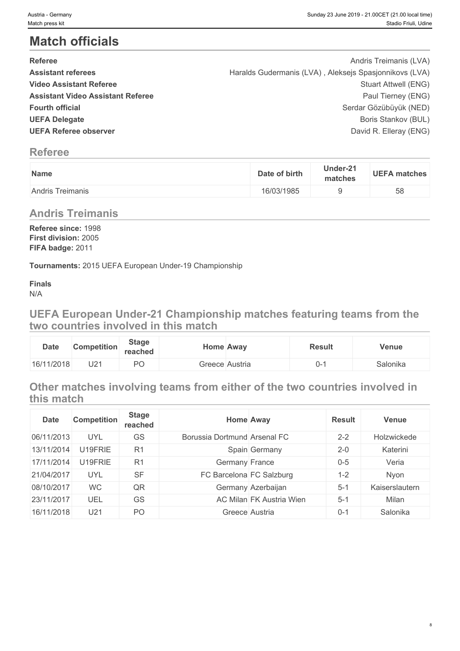# **Match officials**

| <b>Referee</b>                           | Andris Treimanis (LVA)                                 |  |
|------------------------------------------|--------------------------------------------------------|--|
| <b>Assistant referees</b>                | Haralds Gudermanis (LVA), Aleksejs Spasjonnikovs (LVA) |  |
| <b>Video Assistant Referee</b>           | Stuart Attwell (ENG)                                   |  |
| <b>Assistant Video Assistant Referee</b> | Paul Tierney (ENG)                                     |  |
| <b>Fourth official</b>                   | Serdar Gözübüyük (NED)                                 |  |
| <b>UEFA Delegate</b>                     | Boris Stankov (BUL)                                    |  |
| <b>UEFA Referee observer</b>             | David R. Elleray (ENG)                                 |  |

# **Referee**

| Name                                                | Under-21<br>matches |
|-----------------------------------------------------|---------------------|
| $\overline{\phantom{a}}$<br><b>Andris Treimanis</b> |                     |

# **Andris Treimanis**

**Referee since:** 1998 **First division:** 2005 **FIFA badge:** 2011

**Tournaments:** 2015 UEFA European Under-19 Championship

**Finals** N/A

**UEFA European Under-21 Championship matches featuring teams from the two countries involved in this match**

| <b>Date</b> | <b>Competition</b> | <b>Stage</b><br>reached |         | <b>Home Away</b> | <b>Result</b> | Venue    |
|-------------|--------------------|-------------------------|---------|------------------|---------------|----------|
| 16/11/2018  | U2 <sup>-</sup>    | $D^{\prime}$<br>∼       | Greece∣ | Austria          |               | Salonika |

# **Other matches involving teams from either of the two countries involved in this match**

| <b>Date</b> | <b>Competition</b> | <b>Stage</b><br>reached | <b>Home Away</b>             |                                 | <b>Result</b> | <b>Venue</b>   |
|-------------|--------------------|-------------------------|------------------------------|---------------------------------|---------------|----------------|
| 06/11/2013  | <b>UYL</b>         | <b>GS</b>               | Borussia Dortmund Arsenal FC |                                 | $2 - 2$       | Holzwickede    |
| 13/11/2014  | U19FRIE            | R <sub>1</sub>          |                              | Spain Germany                   | $2 - 0$       | Katerini       |
| 17/11/2014  | U19FRIE            | R <sub>1</sub>          | Germany France               |                                 | $0 - 5$       | Veria          |
| 21/04/2017  | <b>UYL</b>         | <b>SF</b>               | FC Barcelona FC Salzburg     |                                 | 1-2           | Nyon           |
| 08/10/2017  | <b>WC</b>          | QR                      |                              | Germany Azerbaijan              | $5 - 1$       | Kaiserslautern |
| 23/11/2017  | UEL                | GS                      |                              | <b>AC Milan FK Austria Wien</b> | $5 - 1$       | Milan          |
| 16/11/2018  | U21                | PO                      | Greece Austria               |                                 | $0 - 1$       | Salonika       |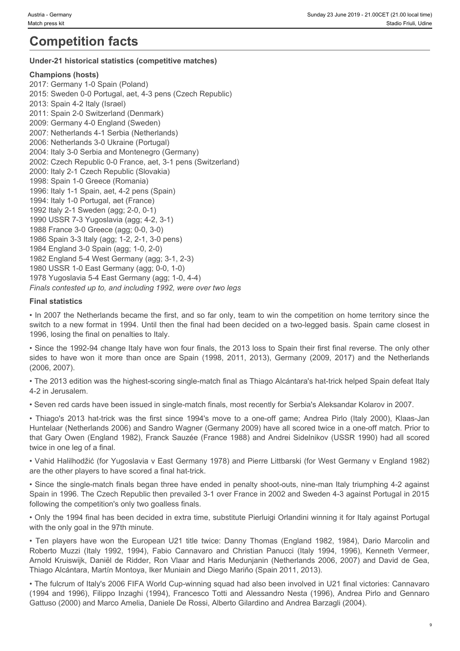# **Competition facts**

# **Under-21 historical statistics (competitive matches)**

# **Champions (hosts)**

2017: Germany 1-0 Spain (Poland) 2015: Sweden 0-0 Portugal, aet, 4-3 pens (Czech Republic) 2013: Spain 4-2 Italy (Israel) 2011: Spain 2-0 Switzerland (Denmark) 2009: Germany 4-0 England (Sweden) 2007: Netherlands 4-1 Serbia (Netherlands) 2006: Netherlands 3-0 Ukraine (Portugal) 2004: Italy 3-0 Serbia and Montenegro (Germany) 2002: Czech Republic 0-0 France, aet, 3-1 pens (Switzerland) 2000: Italy 2-1 Czech Republic (Slovakia) 1998: Spain 1-0 Greece (Romania) 1996: Italy 1-1 Spain, aet, 4-2 pens (Spain) 1994: Italy 1-0 Portugal, aet (France) 1992 Italy 2-1 Sweden (agg; 2-0, 0-1) 1990 USSR 7-3 Yugoslavia (agg; 4-2, 3-1) 1988 France 3-0 Greece (agg; 0-0, 3-0) 1986 Spain 3-3 Italy (agg; 1-2, 2-1, 3-0 pens) 1984 England 3-0 Spain (agg; 1-0, 2-0) 1982 England 5-4 West Germany (agg; 3-1, 2-3) 1980 USSR 1-0 East Germany (agg; 0-0, 1-0) 1978 Yugoslavia 5-4 East Germany (agg; 1-0, 4-4) *Finals contested up to, and including 1992, were over two legs* sions somew<br>
signing and the competition facts and the signing of the signing and the signing of the signing of the signing of the signing of the signing of the signing of the signing of the signing of the signing of the s **Competition in This consisters (competitive matches)**<br> **Characters focetal**<br>
Characters focetal spaces and the first since 1994's competitive matches<br>
2017: Sween 1-9 hard (Italy Italia)<br>
2017: Sween 1-9 hard (Italy Itali 1000. Resp. 21 title that is a constant of the European U21 title that is a constant of the Caps (Spain and Artistical 1982, 1998), 1998 (Spain and Artistical 1998), 1998 (Substitute of the European U21 title twice of the 1998, 1994, 1994, 1994, 1994, 1994, 1994, 1994, 1994, 1994, 1994, 1994, 1994, 1994, 1994, 1994, 1994, 1994, 1994, 1994, 1994, 1994, 1994, 1994, 1994, 1994, 1994, 1994, 1994, 1994, 1994, 1994, 1994, 1994, 1994, 1994, 1994,

# **Final statistics**

• In 2007 the Netherlands became the first, and so far only, team to win the competition on home territory since the switch to a new format in 1994. Until then the final had been decided on a two-legged basis. Spain came closest in 1996, losing the final on penalties to Italy.

• Since the 1992-94 change Italy have won four finals, the 2013 loss to Spain their first final reverse. The only other (2006, 2007).

• The 2013 edition was the highest-scoring single-match final as Thiago Alcántara's hat-trick helped Spain defeat Italy 4-2 in Jerusalem.

• Seven red cards have been issued in single-match finals, most recently for Serbia's Aleksandar Kolarov in 2007.

Huntelaar (Netherlands 2006) and Sandro Wagner (Germany 2009) have all scored twice in a one-off match. Prior to that Gary Owen (England 1982), Franck Sauzée (France 1988) and Andrei Sidelnikov (USSR 1990) had all scored twice in one leg of a final.

• Vahid Halilhodžić (for Yugoslavia v East Germany 1978) and Pierre Littbarski (for West Germany v England 1982) are the other players to have scored a final hat-trick.

• Since the single-match finals began three have ended in penalty shoot-outs, nine-man Italy triumphing 4-2 against Spain in 1996. The Czech Republic then prevailed 3-1 over France in 2002 and Sweden 4-3 against Portugal in 2015 following the competition's only two goalless finals.

• Only the 1994 final has been decided in extra time, substitute Pierluigi Orlandini winning it for Italy against Portugal with the only goal in the 97th minute.

Arnold Kruiswijk, Daniël de Ridder, Ron Vlaar and Haris Medunjanin (Netherlands 2006, 2007) and David de Gea, Thiago Alcántara, Martín Montoya, Iker Muniain and Diego Mariño (Spain 2011, 2013).

• The fulcrum of Italy's 2006 FIFA World Cup-winning squad had also been involved in U21 final victories: Cannavaro (1994 and 1996), Filippo Inzaghi (1994), Francesco Totti and Alessandro Nesta (1996), Andrea Pirlo and Gennaro Gattuso (2000) and Marco Amelia, Daniele De Rossi, Alberto Gilardino and Andrea Barzagli (2004).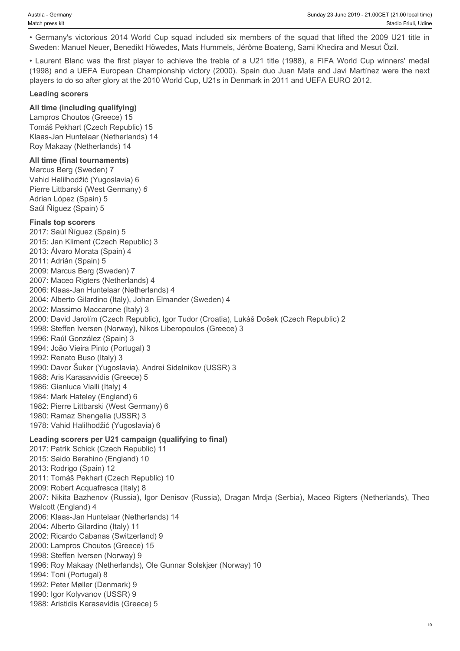Sweden: Manuel Neuer, Benedikt Höwedes, Mats Hummels, Jérôme Boateng, Sami Khedira and Mesut Özil.

Austria - Germany<br>
Anach press kit<br>
• Germany's victorious 2014 World Cup squad included six members of the squad that lifted the 2009 U21 title in<br>
Stadio Friuli, Udine<br>
• Caurent Blanc was the first player to achieve the Austria - Germany<br>
Match press kit<br>
facto press kit<br>
• Germany's victorious 2014 World Cup squad included six members of the squad that lifted the 2009 U21 title in<br>
Sweden: Manuel Neuer, Benedikt Höwedes, Mats Hummels, Jé (1998) and a UEFA European Championship victory (2000). Spain duo Juan Mata and Javi Martínez were the next players to do so after glory at the 2010 World Cup, U21s in Denmark in 2011 and UEFA EURO 2012.

### **Leading scorers**

# **All time (including qualifying)**

Lampros Choutos (Greece) 15 Tomáš Pekhart (Czech Republic) 15 Klaas-Jan Huntelaar (Netherlands) 14 Roy Makaay (Netherlands) 14

### **All time (final tournaments)**

Marcus Berg (Sweden) 7 Vahid Halilhodžić (Yugoslavia) 6 Pierre Littbarski (West Germany) *6* Adrian López (Spain) 5 Saúl Ñíguez (Spain) 5

#### **Finals top scorers**

2017: Saúl Ñíguez (Spain) 5 2015: Jan Kliment (Czech Republic) 3 2013: Álvaro Morata (Spain) 4 2011: Adrián (Spain) 5 2009: Marcus Berg (Sweden) 7 2007: Maceo Rigters (Netherlands) 4 2006: Klaas-Jan Huntelaar (Netherlands) 4 2004: Alberto Gilardino (Italy), Johan Elmander (Sweden) 4 2002: Massimo Maccarone (Italy) 3 2000: David Jarolím (Czech Republic), Igor Tudor (Croatia), Lukáš Došek (Czech Republic) 2 1998: Steffen Iversen (Norway), Nikos Liberopoulos (Greece) 3 1996: Raúl González (Spain) 3 1994: João Vieira Pinto (Portugal) 3 1992: Renato Buso (Italy) 3 1990: Davor Šuker (Yugoslavia), Andrei Sidelnikov (USSR) 3 1988: Aris Karasavvidis (Greece) 5 1986: Gianluca Vialli (Italy) 4 1984: Mark Hateley (England) 6 1982: Pierre Littbarski (West Germany) 6 1980: Ramaz Shengelia (USSR) 3 1978: Vahid Halilhodžić (Yugoslavia) 6 **Leading scorers per U21 campaign (qualifying to final)** 2017: Patrik Schick (Czech Republic) 11 2015: Saido Berahino (England) 10 2013: Rodrigo (Spain) 12 2011: Tomáš Pekhart (Czech Republic) 10 2009: Robert Acquafresca (Italy) 8 2007: Nikita Bazhenov (Russia), Igor Denisov (Russia), Dragan Mrdja (Serbia), Maceo Rigters (Netherlands), Theo Walcott (England) 4 2006: Klaas-Jan Huntelaar (Netherlands) 14 2004: Alberto Gilardino (Italy) 11 2002: Ricardo Cabanas (Switzerland) 9 2000: Lampros Choutos (Greece) 15 1998: Steffen Iversen (Norway) 9 1996: Roy Makaay (Netherlands), Ole Gunnar Solskjær (Norway) 10 1994: Toni (Portugal) 8 1992: Peter Møller (Denmark) 9 1990: Igor Kolyvanov (USSR) 9 1988: Aristidis Karasavidis (Greece) 5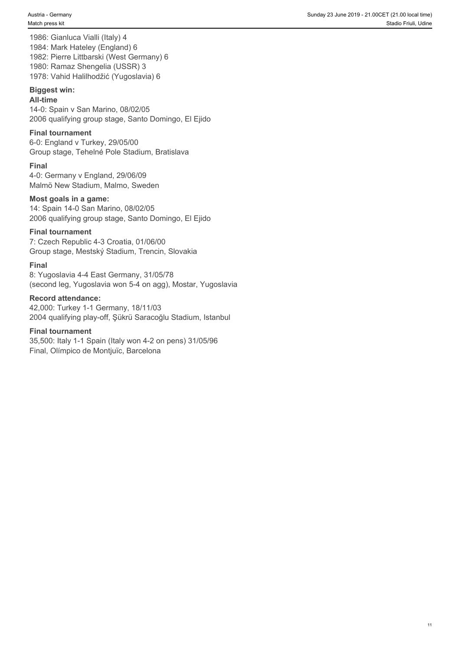1986: Gianluca Vialli (Italy) 4 1984: Mark Hateley (England) 6 1982: Pierre Littbarski (West Germany) 6 1980: Ramaz Shengelia (USSR) 3 1978: Vahid Halilhodžić (Yugoslavia) 6

### **Biggest win:**

#### **All-time**

14-0: Spain v San Marino, 08/02/05 2006 qualifying group stage, Santo Domingo, El Ejido

# **Final tournament**

6-0: England v Turkey, 29/05/00 Group stage, Tehelné Pole Stadium, Bratislava

### **Final**

4-0: Germany v England, 29/06/09 Malmö New Stadium, Malmo, Sweden

#### **Most goals in a game:**

14: Spain 14-0 San Marino, 08/02/05 2006 qualifying group stage, Santo Domingo, El Ejido

#### **Final tournament**

7: Czech Republic 4-3 Croatia, 01/06/00 Group stage, Mestský Stadium, Trencin, Slovakia

#### **Final**

8: Yugoslavia 4-4 East Germany, 31/05/78 (second leg, Yugoslavia won 5-4 on agg), Mostar, Yugoslavia

#### **Record attendance:**

42,000: Turkey 1-1 Germany, 18/11/03 2004 qualifying play-off, Şükrü Saracoğlu Stadium, Istanbul

# **Final tournament**

35,500: Italy 1-1 Spain (Italy won 4-2 on pens) 31/05/96 Final, Olímpico de Montjuïc, Barcelona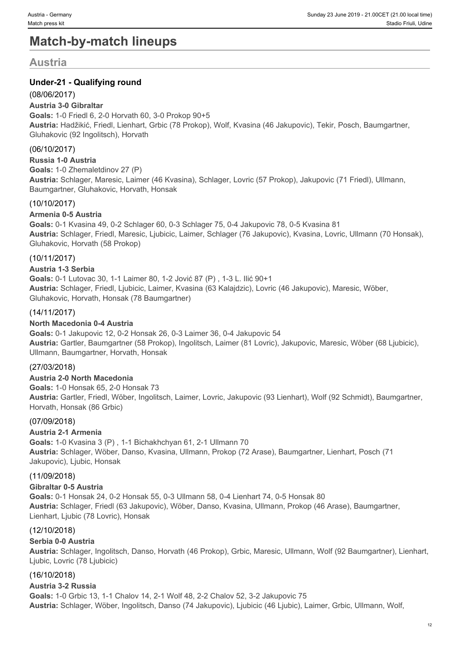# **Match-by-match lineups**

# **Austria**

# **Under-21 - Qualifying round**

# (08/06/2017)

# **Austria 3-0 Gibraltar**

**Goals:** 1-0 Friedl 6, 2-0 Horvath 60, 3-0 Prokop 90+5 **Austria:** Hadžikić, Friedl, Lienhart, Grbic (78 Prokop), Wolf, Kvasina (46 Jakupovic), Tekir, Posch, Baumgartner, Gluhakovic (92 Ingolitsch), Horvath

# (06/10/2017)

# **Russia 1-0 Austria**

**Goals:** 1-0 Zhemaletdinov 27 (P) **Austria:** Schlager, Maresic, Laimer (46 Kvasina), Schlager, Lovric (57 Prokop), Jakupovic (71 Friedl), Ullmann, Baumgartner, Gluhakovic, Horvath, Honsak

# (10/10/2017)

# **Armenia 0-5 Austria**

**Goals:** 0-1 Kvasina 49, 0-2 Schlager 60, 0-3 Schlager 75, 0-4 Jakupovic 78, 0-5 Kvasina 81 **Austria:** Schlager, Friedl, Maresic, Ljubicic, Laimer, Schlager (76 Jakupovic), Kvasina, Lovric, Ullmann (70 Honsak), Gluhakovic, Horvath (58 Prokop)

# (10/11/2017)

# **Austria 1-3 Serbia**

**Goals:** 0-1 Lutovac 30, 1-1 Laimer 80, 1-2 Jović 87 (P) , 1-3 L. Ilić 90+1 **Austria:** Schlager, Friedl, Ljubicic, Laimer, Kvasina (63 Kalajdzic), Lovric (46 Jakupovic), Maresic, Wöber, Gluhakovic, Horvath, Honsak (78 Baumgartner)

# (14/11/2017)

# **North Macedonia 0-4 Austria**

**Goals:** 0-1 Jakupovic 12, 0-2 Honsak 26, 0-3 Laimer 36, 0-4 Jakupovic 54 **Austria:** Gartler, Baumgartner (58 Prokop), Ingolitsch, Laimer (81 Lovric), Jakupovic, Maresic, Wöber (68 Ljubicic), Ullmann, Baumgartner, Horvath, Honsak

# (27/03/2018)

# **Austria 2-0 North Macedonia**

**Goals:** 1-0 Honsak 65, 2-0 Honsak 73 **Austria:** Gartler, Friedl, Wöber, Ingolitsch, Laimer, Lovric, Jakupovic (93 Lienhart), Wolf (92 Schmidt), Baumgartner, Horvath, Honsak (86 Grbic)

# (07/09/2018)

# **Austria 2-1 Armenia**

**Goals:** 1-0 Kvasina 3 (P) , 1-1 Bichakhchyan 61, 2-1 Ullmann 70 **Austria:** Schlager, Wöber, Danso, Kvasina, Ullmann, Prokop (72 Arase), Baumgartner, Lienhart, Posch (71 Jakupovic), Ljubic, Honsak

# (11/09/2018)

# **Gibraltar 0-5 Austria**

**Goals:** 0-1 Honsak 24, 0-2 Honsak 55, 0-3 Ullmann 58, 0-4 Lienhart 74, 0-5 Honsak 80 **Austria:** Schlager, Friedl (63 Jakupovic), Wöber, Danso, Kvasina, Ullmann, Prokop (46 Arase), Baumgartner, Lienhart, Ljubic (78 Lovric), Honsak

# (12/10/2018)

# **Serbia 0-0 Austria**

**Austria:** Schlager, Ingolitsch, Danso, Horvath (46 Prokop), Grbic, Maresic, Ullmann, Wolf (92 Baumgartner), Lienhart, Ljubic, Lovric (78 Ljubicic)

# (16/10/2018)

# **Austria 3-2 Russia**

**Goals:** 1-0 Grbic 13, 1-1 Chalov 14, 2-1 Wolf 48, 2-2 Chalov 52, 3-2 Jakupovic 75 **Austria:** Schlager, Wöber, Ingolitsch, Danso (74 Jakupovic), Ljubicic (46 Ljubic), Laimer, Grbic, Ullmann, Wolf,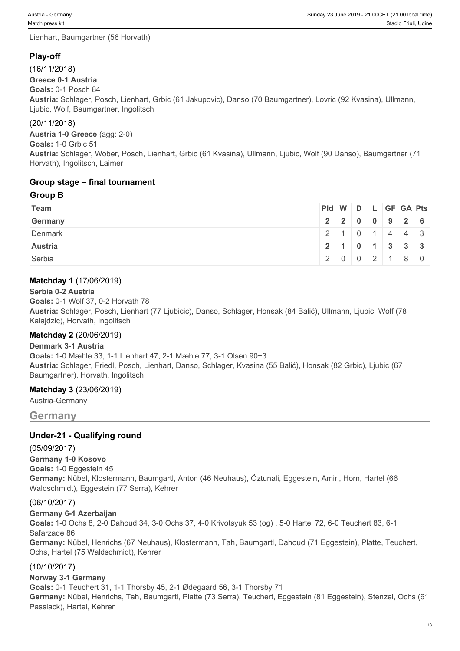Lienhart, Baumgartner (56 Horvath)

# **Play-off**

(16/11/2018)

**Greece 0-1 Austria**

**Goals:** 0-1 Posch 84

**Austria:** Schlager, Posch, Lienhart, Grbic (61 Jakupovic), Danso (70 Baumgartner), Lovric (92 Kvasina), Ullmann, Ljubic, Wolf, Baumgartner, Ingolitsch

# (20/11/2018)

**Austria 1-0 Greece** (agg: 2-0)

**Goals:** 1-0 Grbic 51

**Austria:** Schlager, Wöber, Posch, Lienhart, Grbic (61 Kvasina), Ullmann, Ljubic, Wolf (90 Danso), Baumgartner (71 Horvath), Ingolitsch, Laimer

# **Group stage – final tournament**

# **Group B**

| Team           | Pid W D L GF GA Pts        |                                               |  |  |  |
|----------------|----------------------------|-----------------------------------------------|--|--|--|
| Germany        |                            | 2 2 0 0 9 2 6                                 |  |  |  |
| Denmark        |                            | $2 \mid 1 \mid 0 \mid 1 \mid 4 \mid 4 \mid 3$ |  |  |  |
| <b>Austria</b> | 12   1   0   1   3   3   3 |                                               |  |  |  |
| Serbia         |                            | 20002180                                      |  |  |  |

# **Matchday 1** (17/06/2019)

# **Serbia 0-2 Austria**

**Goals:** 0-1 Wolf 37, 0-2 Horvath 78 **Austria:** Schlager, Posch, Lienhart (77 Ljubicic), Danso, Schlager, Honsak (84 Balić), Ullmann, Ljubic, Wolf (78 Kalajdzic), Horvath, Ingolitsch

# **Matchday 2** (20/06/2019)

# **Denmark 3-1 Austria**

**Goals:** 1-0 Mæhle 33, 1-1 Lienhart 47, 2-1 Mæhle 77, 3-1 Olsen 90+3 **Austria:** Schlager, Friedl, Posch, Lienhart, Danso, Schlager, Kvasina (55 Balić), Honsak (82 Grbic), Ljubic (67 Baumgartner), Horvath, Ingolitsch

# **Matchday 3** (23/06/2019)

Austria-Germany

# **Germany**

# **Under-21 - Qualifying round**

(05/09/2017) **Germany 1-0 Kosovo Goals:** 1-0 Eggestein 45 **Germany:** Nübel, Klostermann, Baumgartl, Anton (46 Neuhaus), Öztunali, Eggestein, Amiri, Horn, Hartel (66 Waldschmidt), Eggestein (77 Serra), Kehrer

# (06/10/2017)

**Germany 6-1 Azerbaijan**

**Goals:** 1-0 Ochs 8, 2-0 Dahoud 34, 3-0 Ochs 37, 4-0 Krivotsyuk 53 (og) , 5-0 Hartel 72, 6-0 Teuchert 83, 6-1 Safarzade 86

**Germany:** Nübel, Henrichs (67 Neuhaus), Klostermann, Tah, Baumgartl, Dahoud (71 Eggestein), Platte, Teuchert, Ochs, Hartel (75 Waldschmidt), Kehrer

# (10/10/2017)

# **Norway 3-1 Germany**

**Goals:** 0-1 Teuchert 31, 1-1 Thorsby 45, 2-1 Ødegaard 56, 3-1 Thorsby 71 **Germany:** Nübel, Henrichs, Tah, Baumgartl, Platte (73 Serra), Teuchert, Eggestein (81 Eggestein), Stenzel, Ochs (61 Passlack), Hartel, Kehrer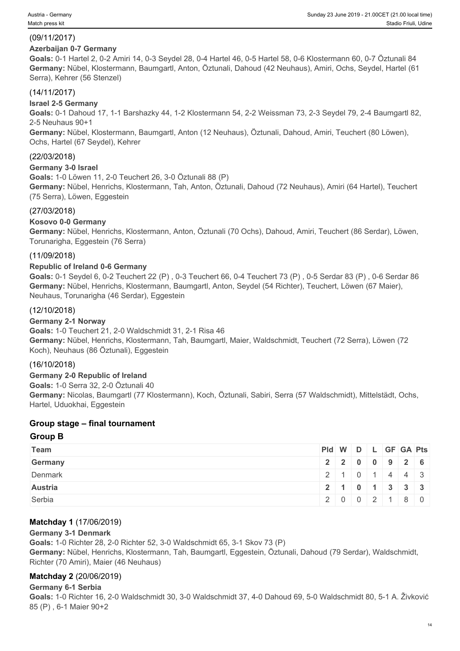# (09/11/2017)

# **Azerbaijan 0-7 Germany**

**Goals:** 0-1 Hartel 2, 0-2 Amiri 14, 0-3 Seydel 28, 0-4 Hartel 46, 0-5 Hartel 58, 0-6 Klostermann 60, 0-7 Öztunali 84 **Germany:** Nübel, Klostermann, Baumgartl, Anton, Öztunali, Dahoud (42 Neuhaus), Amiri, Ochs, Seydel, Hartel (61 Serra), Kehrer (56 Stenzel)

# (14/11/2017)

# **Israel 2-5 Germany**

**Goals:** 0-1 Dahoud 17, 1-1 Barshazky 44, 1-2 Klostermann 54, 2-2 Weissman 73, 2-3 Seydel 79, 2-4 Baumgartl 82, 2-5 Neuhaus 90+1

**Germany:** Nübel, Klostermann, Baumgartl, Anton (12 Neuhaus), Öztunali, Dahoud, Amiri, Teuchert (80 Löwen), Ochs, Hartel (67 Seydel), Kehrer

# (22/03/2018)

# **Germany 3-0 Israel**

**Goals:** 1-0 Löwen 11, 2-0 Teuchert 26, 3-0 Öztunali 88 (P)

**Germany:** Nübel, Henrichs, Klostermann, Tah, Anton, Öztunali, Dahoud (72 Neuhaus), Amiri (64 Hartel), Teuchert (75 Serra), Löwen, Eggestein

# (27/03/2018)

# **Kosovo 0-0 Germany**

**Germany:** Nübel, Henrichs, Klostermann, Anton, Öztunali (70 Ochs), Dahoud, Amiri, Teuchert (86 Serdar), Löwen, Torunarigha, Eggestein (76 Serra)

# (11/09/2018)

# **Republic of Ireland 0-6 Germany**

**Goals:** 0-1 Seydel 6, 0-2 Teuchert 22 (P) , 0-3 Teuchert 66, 0-4 Teuchert 73 (P) , 0-5 Serdar 83 (P) , 0-6 Serdar 86 **Germany:** Nübel, Henrichs, Klostermann, Baumgartl, Anton, Seydel (54 Richter), Teuchert, Löwen (67 Maier), Neuhaus, Torunarigha (46 Serdar), Eggestein

# (12/10/2018)

# **Germany 2-1 Norway**

**Goals:** 1-0 Teuchert 21, 2-0 Waldschmidt 31, 2-1 Risa 46 **Germany:** Nübel, Henrichs, Klostermann, Tah, Baumgartl, Maier, Waldschmidt, Teuchert (72 Serra), Löwen (72 Koch), Neuhaus (86 Öztunali), Eggestein

# (16/10/2018)

**Germany 2-0 Republic of Ireland Goals:** 1-0 Serra 32, 2-0 Öztunali 40 **Germany:** Nicolas, Baumgartl (77 Klostermann), Koch, Öztunali, Sabiri, Serra (57 Waldschmidt), Mittelstädt, Ochs, Hartel, Uduokhai, Eggestein

# **Group stage – final tournament**

# **Group B**

| Team           |  |  | Pid W D L GF GA Pts         |  |
|----------------|--|--|-----------------------------|--|
| Germany        |  |  | $2$   2   0   0   9   2   6 |  |
| Denmark        |  |  | 2   1   0   1   4   4   3   |  |
| <b>Austria</b> |  |  | 2 1 0 1 3 3 3               |  |
| Serbia         |  |  | 2002180                     |  |

# **Matchday 1** (17/06/2019)

# **Germany 3-1 Denmark**

**Goals:** 1-0 Richter 28, 2-0 Richter 52, 3-0 Waldschmidt 65, 3-1 Skov 73 (P) **Germany:** Nübel, Henrichs, Klostermann, Tah, Baumgartl, Eggestein, Öztunali, Dahoud (79 Serdar), Waldschmidt, Richter (70 Amiri), Maier (46 Neuhaus)

# **Matchday 2** (20/06/2019)

# **Germany 6-1 Serbia**

**Goals:** 1-0 Richter 16, 2-0 Waldschmidt 30, 3-0 Waldschmidt 37, 4-0 Dahoud 69, 5-0 Waldschmidt 80, 5-1 A. Živković 85 (P) , 6-1 Maier 90+2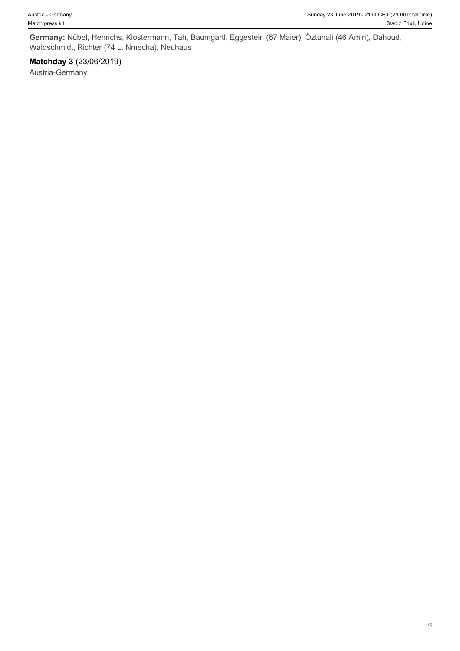**Germany:** Nübel, Henrichs, Klostermann, Tah, Baumgartl, Eggestein (67 Maier), Öztunali (46 Amiri), Dahoud, Waldschmidt, Richter (74 L. Nmecha), Neuhaus

# **Matchday 3** (23/06/2019)

Austria-Germany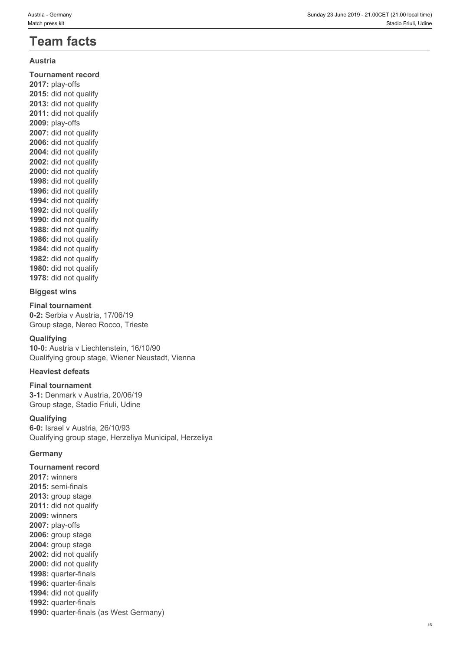# **Austria**

**Tournament record 2017:** play-offs **2015:** did not qualify **2013:** did not qualify **2011:** did not qualify **2009:** play-offs **2007:** did not qualify **2006:** did not qualify **2004:** did not qualify **2002:** did not qualify **2000:** did not qualify **1998:** did not qualify **1996:** did not qualify **1994:** did not qualify **1992:** did not qualify **1990:** did not qualify **1988:** did not qualify **1986:** did not qualify **1984:** did not qualify **1982:** did not qualify **1980:** did not qualify **1978:** did not qualify

#### **Biggest wins**

**Final tournament 0-2:** Serbia v Austria, 17/06/19 Group stage, Nereo Rocco, Trieste

# **Qualifying**

**10-0:** Austria v Liechtenstein, 16/10/90 Qualifying group stage, Wiener Neustadt, Vienna

#### **Heaviest defeats**

**Final tournament 3-1:** Denmark v Austria, 20/06/19 Group stage, Stadio Friuli, Udine

#### **Qualifying**

**6-0:** Israel v Austria, 26/10/93 Qualifying group stage, Herzeliya Municipal, Herzeliya

#### **Germany**

**Tournament record 2017:** winners **2015:** semi-finals **2013:** group stage 2011: did not qualify **2009:** winners **2007:** play-offs **2006:** group stage **2004:** group stage **2002:** did not qualify 2000: did not qualify **1998:** quarter-finals **1996:** quarter-finals **1994:** did not qualify **1992:** quarter-finals **1990:** quarter-finals (as West Germany)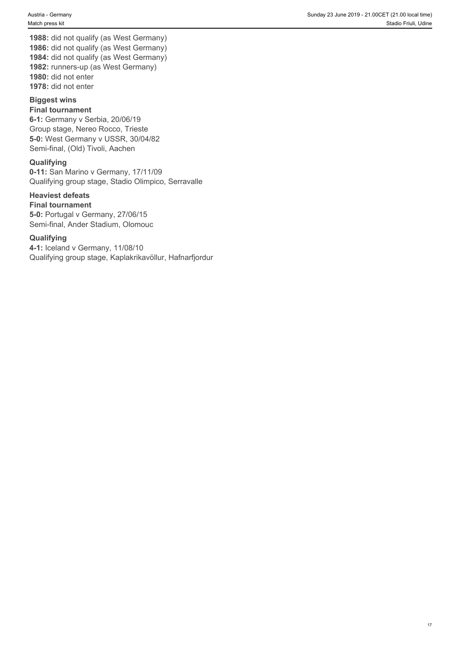**1988:** did not qualify (as West Germany) **1986:** did not qualify (as West Germany) **1984:** did not qualify (as West Germany) **1982:** runners-up (as West Germany) **1980:** did not enter **1978:** did not enter

# **Biggest wins**

#### **Final tournament**

**6-1:** Germany v Serbia, 20/06/19 Group stage, Nereo Rocco, Trieste **5-0:** West Germany v USSR, 30/04/82 Semi-final, (Old) Tivoli, Aachen

#### **Qualifying**

**0-11:** San Marino v Germany, 17/11/09 Qualifying group stage, Stadio Olimpico, Serravalle

# **Heaviest defeats**

**Final tournament 5-0:** Portugal v Germany, 27/06/15 Semi-final, Ander Stadium, Olomouc

#### **Qualifying**

**4-1:** Iceland v Germany, 11/08/10 Qualifying group stage, Kaplakrikavöllur, Hafnarfjordur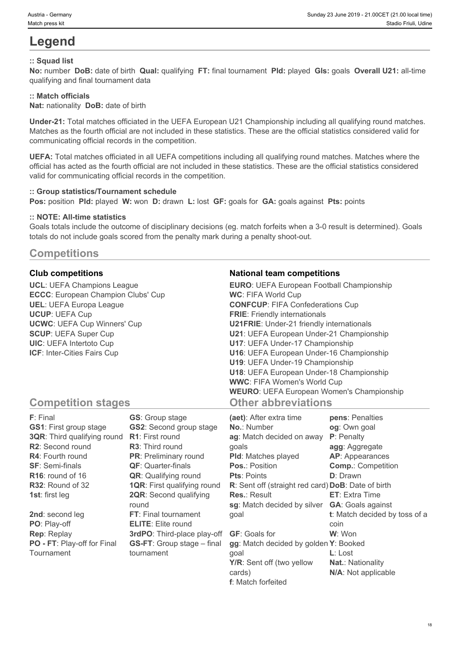# **Legend**

# **:: Squad list**

**No:** number **DoB:** date of birth **Qual:** qualifying **FT:** final tournament **Pld:** played **Gls:** goals **Overall U21:** all-time qualifying and final tournament data

# **:: Match officials**

**Nat:** nationality **DoB:** date of birth

**Under-21:** Total matches officiated in the UEFA European U21 Championship including all qualifying round matches. Matches as the fourth official are not included in these statistics. These are the official statistics considered valid for communicating official records in the competition.

**UEFA:** Total matches officiated in all UEFA competitions including all qualifying round matches. Matches where the official has acted as the fourth official are not included in these statistics. These are the official statistics considered valid for communicating official records in the competition.

#### **:: Group statistics/Tournament schedule**

**Pos:** position **Pld:** played **W:** won **D:** drawn **L:** lost **GF:** goals for **GA:** goals against **Pts:** points

#### **:: NOTE: All-time statistics**

Goals totals include the outcome of disciplinary decisions (eg. match forfeits when a 3-0 result is determined). Goals totals do not include goals scored from the penalty mark during a penalty shoot-out.

# **Competitions**

**UCL**: UEFA Champions League **ECCC**: European Champion Clubs' Cup **UEL**: UEFA Europa League **UCUP**: UEFA Cup **UCWC**: UEFA Cup Winners' Cup **SCUP**: UEFA Super Cup **UIC**: UEFA Intertoto Cup **ICF**: Inter-Cities Fairs Cup

# **Club competitions National team competitions**

| <b>EURO:</b> UEFA European Football Championship |  |
|--------------------------------------------------|--|
| <b>WC: FIFA World Cup</b>                        |  |
| <b>CONFCUP: FIFA Confederations Cup</b>          |  |
| <b>FRIE:</b> Friendly internationals             |  |
| <b>U21FRIE:</b> Under-21 friendly internationals |  |
| U21: UEFA European Under-21 Championship         |  |
| U17: UEFA Under-17 Championship                  |  |
| U16: UEFA European Under-16 Championship         |  |
| U19: UEFA Under-19 Championship                  |  |
| U18: UEFA European Under-18 Championship         |  |
| <b>WWC: FIFA Women's World Cup</b>               |  |
| <b>WEURO:</b> UEFA European Women's Championship |  |
| <b>Other abbreviations</b>                       |  |

# **Competition stages**

| <b>F</b> : Final                   | <b>GS:</b> Group stage             | (aet): After extra time                            | pens: Penalties               |
|------------------------------------|------------------------------------|----------------------------------------------------|-------------------------------|
| <b>GS1: First group stage</b>      | <b>GS2:</b> Second group stage     | No.: Number                                        | og: Own goal                  |
| <b>3QR:</b> Third qualifying round | <b>R1:</b> First round             | ag: Match decided on away                          | P: Penalty                    |
| <b>R2:</b> Second round            | <b>R3:</b> Third round             | goals                                              | agg: Aggregate                |
| <b>R4: Fourth round</b>            | <b>PR:</b> Preliminary round       | <b>PId:</b> Matches played                         | <b>AP:</b> Appearances        |
| <b>SF: Semi-finals</b>             | <b>QF:</b> Quarter-finals          | <b>Pos.: Position</b>                              | <b>Comp.: Competition</b>     |
| $R16$ : round of 16                | <b>QR:</b> Qualifying round        | <b>Pts: Points</b>                                 | <b>D</b> : Drawn              |
| R32: Round of 32                   | <b>1QR:</b> First qualifying round | R: Sent off (straight red card) DoB: Date of birth |                               |
| <b>1st:</b> first leg              | <b>2QR:</b> Second qualifying      | <b>Res.: Result</b>                                | <b>ET:</b> Extra Time         |
|                                    | round                              | sg: Match decided by silver                        | <b>GA:</b> Goals against      |
| 2nd: second leg                    | <b>FT:</b> Final tournament        | goal                                               | t: Match decided by toss of a |
| PO: Play-off                       | <b>ELITE:</b> Elite round          |                                                    | coin                          |
| <b>Rep: Replay</b>                 | 3rdPO: Third-place play-off        | <b>GF: Goals for</b>                               | W: Won                        |
| PO - FT: Play-off for Final        | <b>GS-FT:</b> Group stage – final  | gg: Match decided by golden Y: Booked              |                               |
| Tournament                         | tournament                         | goal                                               | $L:$ Lost                     |
|                                    |                                    | Y/R: Sent off (two yellow                          | <b>Nat.: Nationality</b>      |
|                                    |                                    | cards)                                             | N/A: Not applicable           |

**f**: Match forfeited